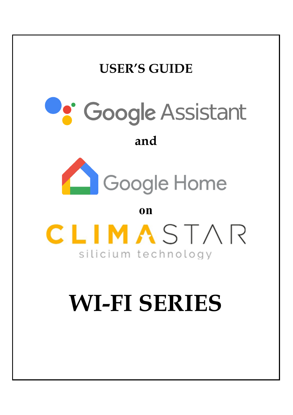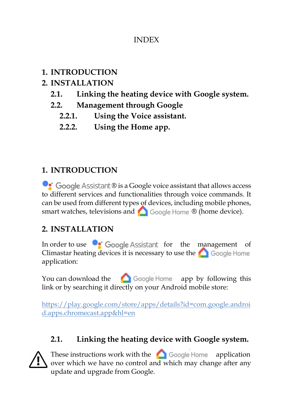#### INDEX

### **1. INTRODUCTION**

# **2. INSTALLATION**

- **2.1. Linking the heating device with Google system.**
- **2.2. Management through Google** 
	- **2.2.1. Using the Voice assistant.**
	- **2.2.2. Using the Home app.**

# **1. INTRODUCTION**

 $\bullet$  Google Assistant  $\mathbb B$  is a Google voice assistant that allows access to different services and functionalities through voice commands. It can be used from different types of devices, including mobile phones, smart watches, televisions and **C** Google Home ® (home device).

# **2. INSTALLATION**

In order to use  $\bullet$  Google Assistant for the management of Climastar heating devices it is necessary to use the **C** Google Home application:

You can download the  $\bigcirc$  Google Home app by following this link or by searching it directly on your Android mobile store:

https://play.google.com/store/apps/details?id=com.google.androi d.apps.chromecast.app&hl=en

# **2.1. Linking the heating device with Google system.**



These instructions work with the  $\bigcirc$  Google Home application over which we have no control and which may change after any update and upgrade from Google.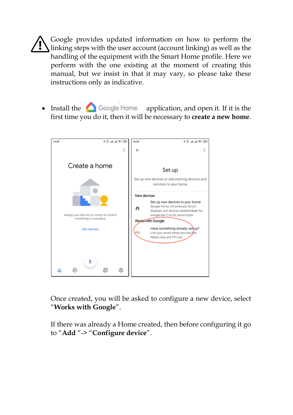Google provides updated information on how to perform the linking steps with the user account (account linking) as well as the handling of the equipment with the Smart Home profile. Here we perform with the one existing at the moment of creating this manual, but we insist in that it may vary, so please take these instructions only as indicative.

 $\bullet$  Install the  $\bullet$  Google Home application, and open it. If it is the first time you do it, then it will be necessary to **create a new home**.



Once created, you will be asked to configure a new device, select "**Works with Google**".

If there was already a Home created, then before configuring it go to "**Add** "-> "**Configure device**".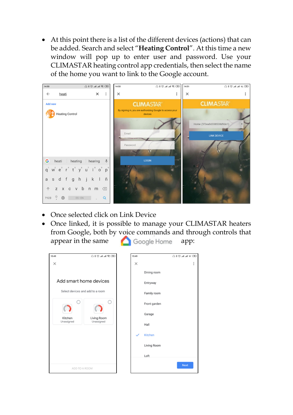At this point there is a list of the different devices (actions) that can be added. Search and select "**Heating Control**". At this time a new window will pop up to enter user and password. Use your CLIMASTAR heating control app credentials, then select the name of the home you want to link to the Google account.



- Once selected click on Link Device
- Once linked, it is possible to manage your CLIMASTAR heaters from Google, both by voice commands and through controls that appear in the same **app**:

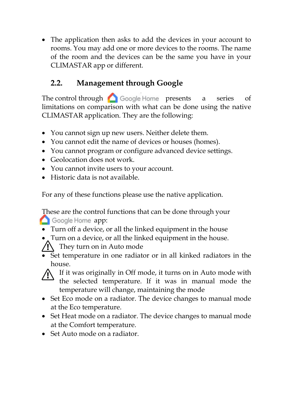The application then asks to add the devices in your account to rooms. You may add one or more devices to the rooms. The name of the room and the devices can be the same you have in your CLIMASTAR app or different.

### **2.2. Management through Google**

The control through  $\bigcirc$  Google Home presents a series of limitations on comparison with what can be done using the native CLIMASTAR application. They are the following:

- You cannot sign up new users. Neither delete them.
- You cannot edit the name of devices or houses (homes).
- You cannot program or configure advanced device settings.
- Geolocation does not work.
- You cannot invite users to your account.
- Historic data is not available.

For any of these functions please use the native application.

These are the control functions that can be done through your Google Home app:

- Turn off a device, or all the linked equipment in the house
- Turn on a device, or all the linked equipment in the house.

 $\sqrt{N}$  They turn on in Auto mode

 Set temperature in one radiator or in all kinked radiators in the house.



If it was originally in Off mode, it turns on in Auto mode with the selected temperature. If it was in manual mode the temperature will change, maintaining the mode

- Set Eco mode on a radiator. The device changes to manual mode at the Eco temperature.
- Set Heat mode on a radiator. The device changes to manual mode at the Comfort temperature.
- Set Auto mode on a radiator.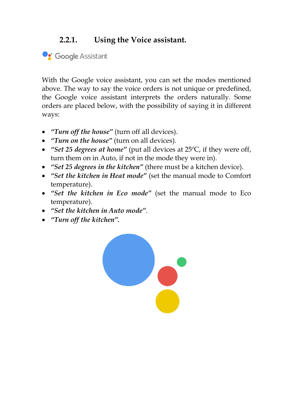#### **2.2.1. Using the Voice assistant.**

Coogle Assistant

With the Google voice assistant, you can set the modes mentioned above. The way to say the voice orders is not unique or predefined, the Google voice assistant interprets the orders naturally. Some orders are placed below, with the possibility of saying it in different ways:

- *"Turn off the house"* (turn off all devices).
- *"Turn on the house"* (turn on all devices).
- *"Set 25 degrees at home"* (put all devices at 25ºC, if they were off, turn them on in Auto, if not in the mode they were in).
- *"Set 25 degrees in the kitchen"* (there must be a kitchen device).
- *"Set the kitchen in Heat mode"* (set the manual mode to Comfort temperature).
- *"Set the kitchen in Eco mode"* (set the manual mode to Eco temperature).
- *"Set the kitchen in Auto mode"*.
- *"Turn off the kitchen".*

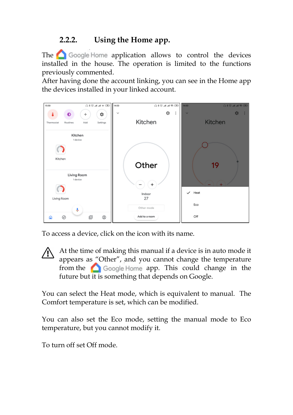#### **2.2.2. Using the Home app.**

The  $\bigcirc$  Google Home application allows to control the devices installed in the house. The operation is limited to the functions previously commented.

After having done the account linking, you can see in the Home app the devices installed in your linked account.



To access a device, click on the icon with its name.

At the time of making this manual if a device is in auto mode it appears as "Other", and you cannot change the temperature from the  $\bigcirc$  Google Home app. This could change in the future but it is something that depends on Google.

You can select the Heat mode, which is equivalent to manual. The Comfort temperature is set, which can be modified.

You can also set the Eco mode, setting the manual mode to Eco temperature, but you cannot modify it.

To turn off set Off mode.